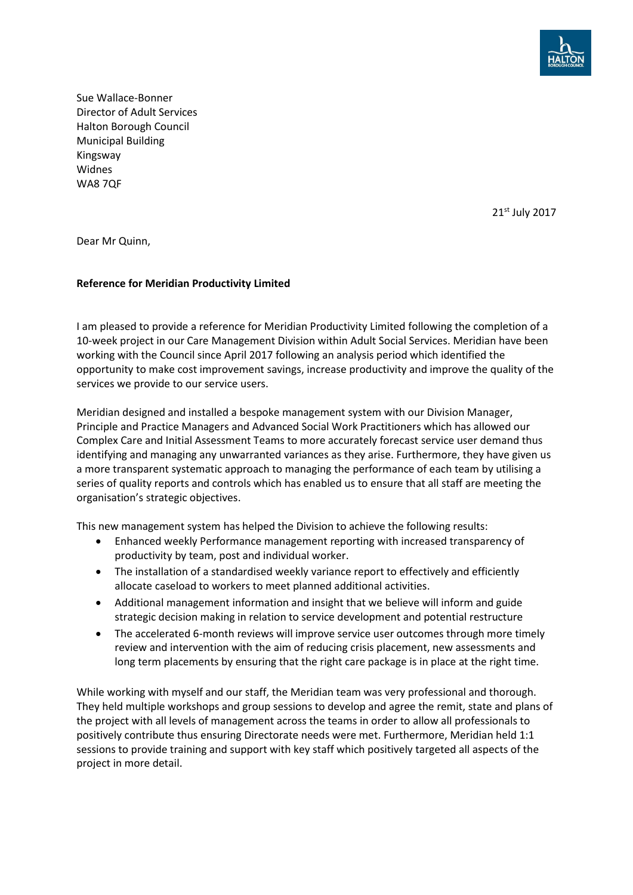

Sue Wallace-Bonner Director of Adult Services Halton Borough Council Municipal Building Kingsway Widnes WA8 7QF

21st July 2017

Dear Mr Quinn,

## **Reference for Meridian Productivity Limited**

I am pleased to provide a reference for Meridian Productivity Limited following the completion of a 10-week project in our Care Management Division within Adult Social Services. Meridian have been working with the Council since April 2017 following an analysis period which identified the opportunity to make cost improvement savings, increase productivity and improve the quality of the services we provide to our service users.

Meridian designed and installed a bespoke management system with our Division Manager, Principle and Practice Managers and Advanced Social Work Practitioners which has allowed our Complex Care and Initial Assessment Teams to more accurately forecast service user demand thus identifying and managing any unwarranted variances as they arise. Furthermore, they have given us a more transparent systematic approach to managing the performance of each team by utilising a series of quality reports and controls which has enabled us to ensure that all staff are meeting the organisation's strategic objectives.

This new management system has helped the Division to achieve the following results:

- Enhanced weekly Performance management reporting with increased transparency of productivity by team, post and individual worker.
- The installation of a standardised weekly variance report to effectively and efficiently allocate caseload to workers to meet planned additional activities.
- Additional management information and insight that we believe will inform and guide strategic decision making in relation to service development and potential restructure
- The accelerated 6-month reviews will improve service user outcomes through more timely review and intervention with the aim of reducing crisis placement, new assessments and long term placements by ensuring that the right care package is in place at the right time.

While working with myself and our staff, the Meridian team was very professional and thorough. They held multiple workshops and group sessions to develop and agree the remit, state and plans of the project with all levels of management across the teams in order to allow all professionals to positively contribute thus ensuring Directorate needs were met. Furthermore, Meridian held 1:1 sessions to provide training and support with key staff which positively targeted all aspects of the project in more detail.